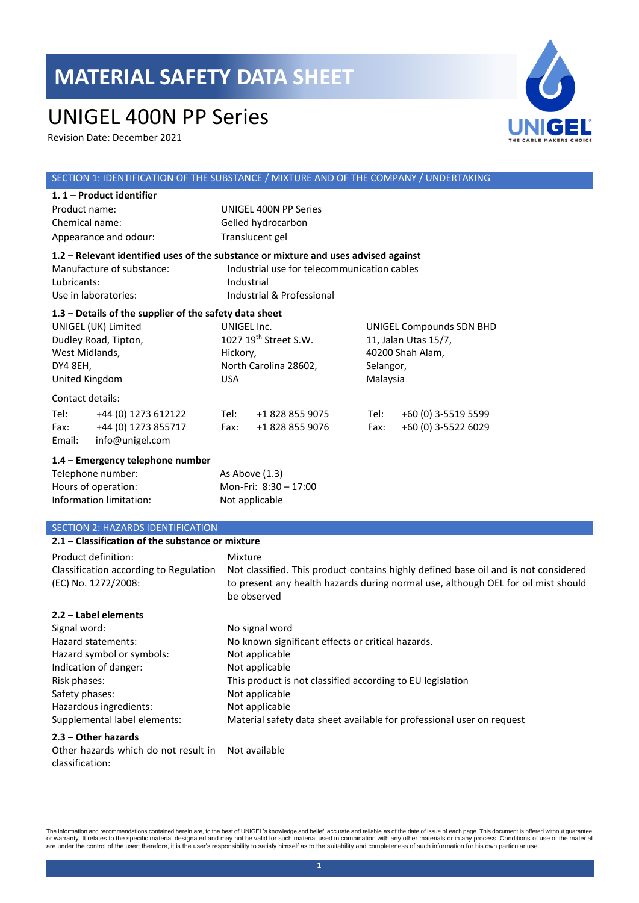## UNIGEL 400N PP Series

Revision Date: December 2021



#### SECTION 1: IDENTIFICATION OF THE SUBSTANCE / MIXTURE AND OF THE COMPANY / UNDERTAKING **1. 1 – Product identifier**  Product name: UNIGEL 400N PP Series Chemical name: Gelled hydrocarbon Appearance and odour: Translucent gel **1.2 – Relevant identified uses of the substance or mixture and uses advised against** Manufacture of substance: Industrial use for telecommunication cables Lubricants: Industrial Use in laboratories: Industrial & Professional **1.3 – Details of the supplier of the safety data sheet** UNIGEL (UK) Limited Dudley Road, Tipton, West Midlands, DY4 8EH, United Kingdom UNIGEL Inc. 1027 19th Street S.W. Hickory, North Carolina 28602, USA UNIGEL Compounds SDN BHD 11, Jalan Utas 15/7, 40200 Shah Alam, Selangor, Malaysia Contact details: Tel: +44 (0) 1273 612122 Tel: +1 828 855 9075 Tel: +60 (0) 3-5519 5599 Fax: +44 (0) 1273 855717 Fax: +1 828 855 9076 Fax: +60 (0) 3-5522 6029 Email: info@unigel.com **1.4 – Emergency telephone number** Telephone number: As Above (1.3) Hours of operation: Mon-Fri: 8:30 - 17:00 Information limitation: Not applicable SECTION 2: HAZARDS IDENTIFICATION **2.1 – Classification of the substance or mixture**

| Product definition:<br>Classification according to Regulation<br>(EC) No. 1272/2008: | Mixture<br>Not classified. This product contains highly defined base oil and is not considered<br>to present any health hazards during normal use, although OEL for oil mist should |
|--------------------------------------------------------------------------------------|-------------------------------------------------------------------------------------------------------------------------------------------------------------------------------------|
|                                                                                      | be observed                                                                                                                                                                         |
| 2.2 - Label elements                                                                 |                                                                                                                                                                                     |
| Signal word:                                                                         | No signal word                                                                                                                                                                      |
| Hazard statements:                                                                   | No known significant effects or critical hazards.                                                                                                                                   |
| Hazard symbol or symbols:                                                            | Not applicable                                                                                                                                                                      |
| Indication of danger:                                                                | Not applicable                                                                                                                                                                      |
| Risk phases:                                                                         | This product is not classified according to EU legislation                                                                                                                          |
| Safety phases:                                                                       | Not applicable                                                                                                                                                                      |
| Hazardous ingredients:                                                               | Not applicable                                                                                                                                                                      |
| Supplemental label elements:                                                         | Material safety data sheet available for professional user on request                                                                                                               |
| $2.3 - Other$ hazards                                                                |                                                                                                                                                                                     |

Other hazards which do not result in Not availableclassification: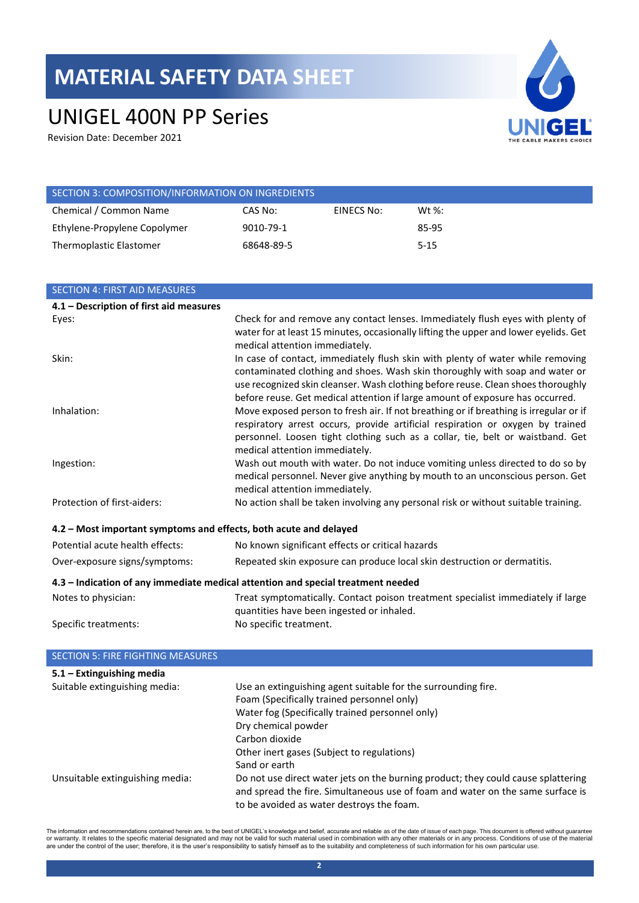# UNIGEL 400N PP Series

Revision Date: December 2021



| SECTION 3: COMPOSITION/INFORMATION ON INGREDIENTS |            |            |           |
|---------------------------------------------------|------------|------------|-----------|
| Chemical / Common Name                            | CAS No:    | EINECS No: | Wt $\%$ : |
| Ethylene-Propylene Copolymer                      | 9010-79-1  |            | 85-95     |
| Thermoplastic Elastomer                           | 68648-89-5 |            | $5 - 15$  |

| <b>SECTION 4: FIRST AID MEASURES</b>                              |                                                                                                                                                                                                                                                                                                                                     |
|-------------------------------------------------------------------|-------------------------------------------------------------------------------------------------------------------------------------------------------------------------------------------------------------------------------------------------------------------------------------------------------------------------------------|
| 4.1 - Description of first aid measures                           |                                                                                                                                                                                                                                                                                                                                     |
| Eyes:                                                             | Check for and remove any contact lenses. Immediately flush eyes with plenty of<br>water for at least 15 minutes, occasionally lifting the upper and lower eyelids. Get<br>medical attention immediately.                                                                                                                            |
| Skin:                                                             | In case of contact, immediately flush skin with plenty of water while removing<br>contaminated clothing and shoes. Wash skin thoroughly with soap and water or<br>use recognized skin cleanser. Wash clothing before reuse. Clean shoes thoroughly<br>before reuse. Get medical attention if large amount of exposure has occurred. |
| Inhalation:                                                       | Move exposed person to fresh air. If not breathing or if breathing is irregular or if<br>respiratory arrest occurs, provide artificial respiration or oxygen by trained<br>personnel. Loosen tight clothing such as a collar, tie, belt or waistband. Get<br>medical attention immediately.                                         |
| Ingestion:                                                        | Wash out mouth with water. Do not induce vomiting unless directed to do so by<br>medical personnel. Never give anything by mouth to an unconscious person. Get<br>medical attention immediately.                                                                                                                                    |
| Protection of first-aiders:                                       | No action shall be taken involving any personal risk or without suitable training.                                                                                                                                                                                                                                                  |
| 4.2 - Most important symptoms and effects, both acute and delayed |                                                                                                                                                                                                                                                                                                                                     |
| Potential acute health effects:                                   | No known significant effects or critical hazards                                                                                                                                                                                                                                                                                    |
| Over-exposure signs/symptoms:                                     | Repeated skin exposure can produce local skin destruction or dermatitis.                                                                                                                                                                                                                                                            |
|                                                                   | 4.3 - Indication of any immediate medical attention and special treatment needed                                                                                                                                                                                                                                                    |
| Notes to physician:                                               | Treat symptomatically. Contact poison treatment specialist immediately if large                                                                                                                                                                                                                                                     |

Specific treatments: No specific treatment.

| <b>SECTION 5: FIRE FIGHTING MEASURES</b> |                                                                                                                                                                                                                  |
|------------------------------------------|------------------------------------------------------------------------------------------------------------------------------------------------------------------------------------------------------------------|
| $5.1 -$ Extinguishing media              |                                                                                                                                                                                                                  |
| Suitable extinguishing media:            | Use an extinguishing agent suitable for the surrounding fire.                                                                                                                                                    |
|                                          | Foam (Specifically trained personnel only)                                                                                                                                                                       |
|                                          | Water fog (Specifically trained personnel only)                                                                                                                                                                  |
|                                          | Dry chemical powder                                                                                                                                                                                              |
|                                          | Carbon dioxide                                                                                                                                                                                                   |
|                                          | Other inert gases (Subject to regulations)                                                                                                                                                                       |
|                                          | Sand or earth                                                                                                                                                                                                    |
| Unsuitable extinguishing media:          | Do not use direct water jets on the burning product; they could cause splattering<br>and spread the fire. Simultaneous use of foam and water on the same surface is<br>to be avoided as water destroys the foam. |

quantities have been ingested or inhaled.

The information and recommendations contained herein are, to the best of UNIGEL's knowledge and belief, accurate and reliable as of the date of issue of each page. This document is offered without guarantee<br>or warranty. It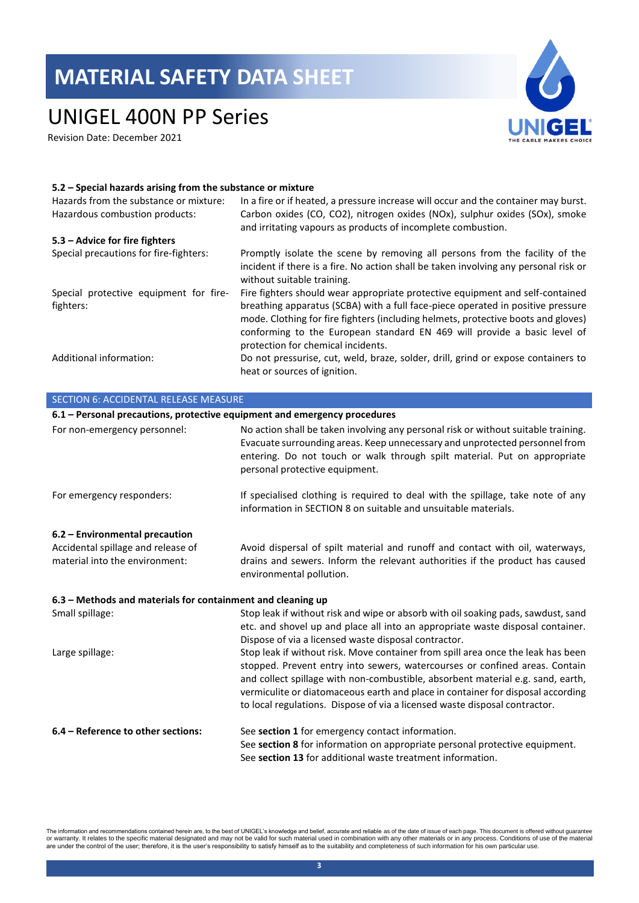# UNIGEL 400N PP Series

Revision Date: December 2021



#### **5.2 – Special hazards arising from the substance or mixture**

| Hazards from the substance or mixture:<br>Hazardous combustion products: | In a fire or if heated, a pressure increase will occur and the container may burst.<br>Carbon oxides (CO, CO2), nitrogen oxides (NOx), sulphur oxides (SOx), smoke<br>and irritating vapours as products of incomplete combustion.                                                                                                                                      |
|--------------------------------------------------------------------------|-------------------------------------------------------------------------------------------------------------------------------------------------------------------------------------------------------------------------------------------------------------------------------------------------------------------------------------------------------------------------|
| 5.3 – Advice for fire fighters                                           |                                                                                                                                                                                                                                                                                                                                                                         |
| Special precautions for fire-fighters:                                   | Promptly isolate the scene by removing all persons from the facility of the<br>incident if there is a fire. No action shall be taken involving any personal risk or<br>without suitable training.                                                                                                                                                                       |
| Special protective equipment for fire-<br>fighters:                      | Fire fighters should wear appropriate protective equipment and self-contained<br>breathing apparatus (SCBA) with a full face-piece operated in positive pressure<br>mode. Clothing for fire fighters (including helmets, protective boots and gloves)<br>conforming to the European standard EN 469 will provide a basic level of<br>protection for chemical incidents. |
| Additional information:                                                  | Do not pressurise, cut, weld, braze, solder, drill, grind or expose containers to<br>heat or sources of ignition.                                                                                                                                                                                                                                                       |

| <b>SECTION 6: ACCIDENTAL RELEASE MEASURE</b>                              |                                                                                                                                                                                                                                                                                                                                                                                                                     |
|---------------------------------------------------------------------------|---------------------------------------------------------------------------------------------------------------------------------------------------------------------------------------------------------------------------------------------------------------------------------------------------------------------------------------------------------------------------------------------------------------------|
| 6.1 - Personal precautions, protective equipment and emergency procedures |                                                                                                                                                                                                                                                                                                                                                                                                                     |
| For non-emergency personnel:                                              | No action shall be taken involving any personal risk or without suitable training.<br>Evacuate surrounding areas. Keep unnecessary and unprotected personnel from<br>entering. Do not touch or walk through spilt material. Put on appropriate<br>personal protective equipment.                                                                                                                                    |
| For emergency responders:                                                 | If specialised clothing is required to deal with the spillage, take note of any<br>information in SECTION 8 on suitable and unsuitable materials.                                                                                                                                                                                                                                                                   |
| 6.2 - Environmental precaution                                            |                                                                                                                                                                                                                                                                                                                                                                                                                     |
| Accidental spillage and release of<br>material into the environment:      | Avoid dispersal of spilt material and runoff and contact with oil, waterways,<br>drains and sewers. Inform the relevant authorities if the product has caused<br>environmental pollution.                                                                                                                                                                                                                           |
| 6.3 - Methods and materials for containment and cleaning up               |                                                                                                                                                                                                                                                                                                                                                                                                                     |
| Small spillage:                                                           | Stop leak if without risk and wipe or absorb with oil soaking pads, sawdust, sand<br>etc. and shovel up and place all into an appropriate waste disposal container.<br>Dispose of via a licensed waste disposal contractor.                                                                                                                                                                                         |
| Large spillage:                                                           | Stop leak if without risk. Move container from spill area once the leak has been<br>stopped. Prevent entry into sewers, watercourses or confined areas. Contain<br>and collect spillage with non-combustible, absorbent material e.g. sand, earth,<br>vermiculite or diatomaceous earth and place in container for disposal according<br>to local regulations. Dispose of via a licensed waste disposal contractor. |
| 6.4 - Reference to other sections:                                        | See section 1 for emergency contact information.<br>See section 8 for information on appropriate personal protective equipment.<br>See section 13 for additional waste treatment information.                                                                                                                                                                                                                       |

The information and recommendations contained herein are, to the best of UNIGEL's knowledge and belief, accurate and reliable as of the date of issue of each page. This document is offered without guarantee<br>or warranty. It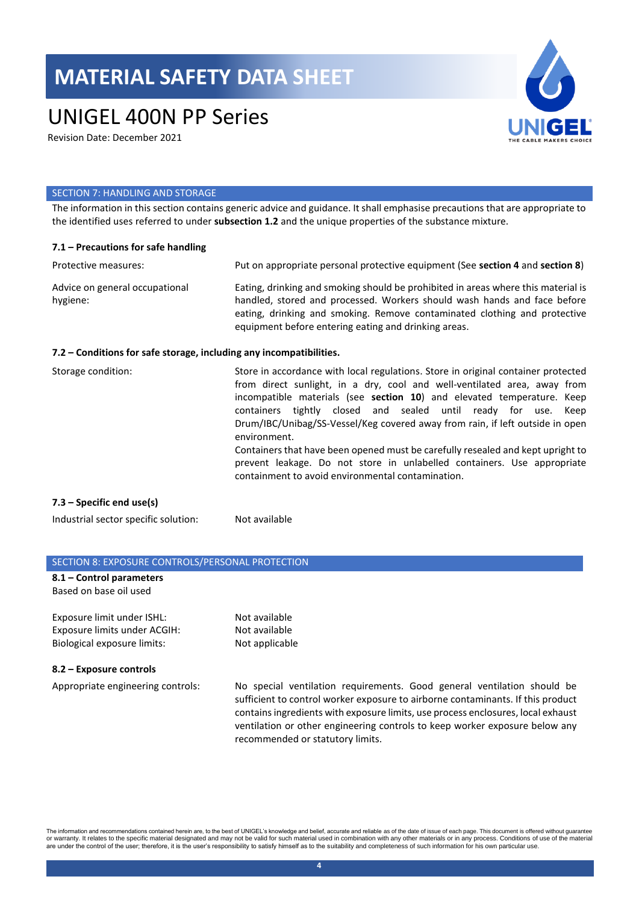# UNIGEL 400N PP Series

Revision Date: December 2021



#### SECTION 7: HANDLING AND STORAGE

The information in this section contains generic advice and guidance. It shall emphasise precautions that are appropriate to the identified uses referred to under **subsection 1.2** and the unique properties of the substance mixture.

| $7.1$ – Precautions for safe handling                               |                                                                                                                                                                                                                                                                                                                                                                                                                                                                                                                                                                                                                              |
|---------------------------------------------------------------------|------------------------------------------------------------------------------------------------------------------------------------------------------------------------------------------------------------------------------------------------------------------------------------------------------------------------------------------------------------------------------------------------------------------------------------------------------------------------------------------------------------------------------------------------------------------------------------------------------------------------------|
| Protective measures:                                                | Put on appropriate personal protective equipment (See section 4 and section 8)                                                                                                                                                                                                                                                                                                                                                                                                                                                                                                                                               |
| Advice on general occupational<br>hygiene:                          | Eating, drinking and smoking should be prohibited in areas where this material is<br>handled, stored and processed. Workers should wash hands and face before<br>eating, drinking and smoking. Remove contaminated clothing and protective<br>equipment before entering eating and drinking areas.                                                                                                                                                                                                                                                                                                                           |
| 7.2 – Conditions for safe storage, including any incompatibilities. |                                                                                                                                                                                                                                                                                                                                                                                                                                                                                                                                                                                                                              |
| Storage condition:                                                  | Store in accordance with local regulations. Store in original container protected<br>from direct sunlight, in a dry, cool and well-ventilated area, away from<br>incompatible materials (see section 10) and elevated temperature. Keep<br>containers tightly closed and sealed until ready for use. Keep<br>Drum/IBC/Unibag/SS-Vessel/Keg covered away from rain, if left outside in open<br>environment.<br>Containers that have been opened must be carefully resealed and kept upright to<br>prevent leakage. Do not store in unlabelled containers. Use appropriate<br>containment to avoid environmental contamination |

### **7.3 – Specific end use(s)**

Industrial sector specific solution: Not available

#### SECTION 8: EXPOSURE CONTROLS/PERSONAL PROTECTION

#### **8.1 – Control parameters**  Based on base oil used

Exposure limit under ISHL: Not available Exposure limits under ACGIH: Not available Biological exposure limits: Not applicable

#### **8.2 – Exposure controls**

Appropriate engineering controls: No special ventilation requirements. Good general ventilation should be sufficient to control worker exposure to airborne contaminants. If this product contains ingredients with exposure limits, use process enclosures, local exhaust ventilation or other engineering controls to keep worker exposure below any recommended or statutory limits.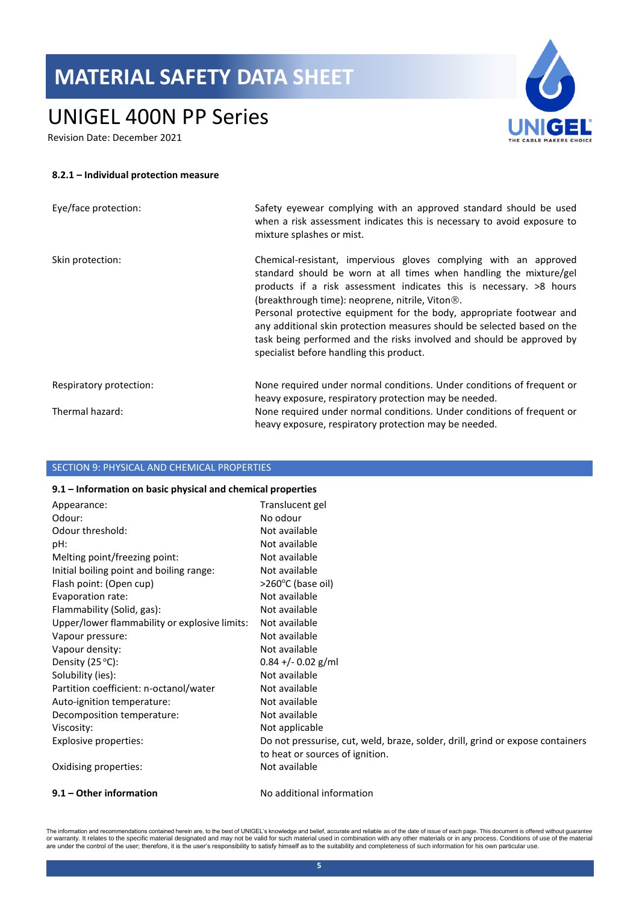# UNIGEL 400N PP Series

Revision Date: December 2021



#### **8.2.1 – Individual protection measure**

| Eye/face protection:    | Safety eyewear complying with an approved standard should be used<br>when a risk assessment indicates this is necessary to avoid exposure to<br>mixture splashes or mist.                                                                                                                                                                                                                                                                                                                                                                             |
|-------------------------|-------------------------------------------------------------------------------------------------------------------------------------------------------------------------------------------------------------------------------------------------------------------------------------------------------------------------------------------------------------------------------------------------------------------------------------------------------------------------------------------------------------------------------------------------------|
| Skin protection:        | Chemical-resistant, impervious gloves complying with an approved<br>standard should be worn at all times when handling the mixture/gel<br>products if a risk assessment indicates this is necessary. >8 hours<br>(breakthrough time): neoprene, nitrile, Viton <sup>®</sup> .<br>Personal protective equipment for the body, appropriate footwear and<br>any additional skin protection measures should be selected based on the<br>task being performed and the risks involved and should be approved by<br>specialist before handling this product. |
| Respiratory protection: | None required under normal conditions. Under conditions of frequent or<br>heavy exposure, respiratory protection may be needed.                                                                                                                                                                                                                                                                                                                                                                                                                       |
| Thermal hazard:         | None required under normal conditions. Under conditions of frequent or<br>heavy exposure, respiratory protection may be needed.                                                                                                                                                                                                                                                                                                                                                                                                                       |

### SECTION 9: PHYSICAL AND CHEMICAL PROPERTIES

#### **9.1 – Information on basic physical and chemical properties**

| 9.1 - Other information                       | No additional information                                                      |
|-----------------------------------------------|--------------------------------------------------------------------------------|
| Oxidising properties:                         | Not available                                                                  |
|                                               | to heat or sources of ignition.                                                |
| Explosive properties:                         | Do not pressurise, cut, weld, braze, solder, drill, grind or expose containers |
| Viscosity:                                    | Not applicable                                                                 |
| Decomposition temperature:                    | Not available                                                                  |
| Auto-ignition temperature:                    | Not available                                                                  |
| Partition coefficient: n-octanol/water        | Not available                                                                  |
| Solubility (ies):                             | Not available                                                                  |
| Density $(25 °C)$ :                           | $0.84 + (-0.02)$ g/ml                                                          |
| Vapour density:                               | Not available                                                                  |
| Vapour pressure:                              | Not available                                                                  |
| Upper/lower flammability or explosive limits: | Not available                                                                  |
| Flammability (Solid, gas):                    | Not available                                                                  |
| Evaporation rate:                             | Not available                                                                  |
| Flash point: (Open cup)                       | >260°C (base oil)                                                              |
| Initial boiling point and boiling range:      | Not available                                                                  |
| Melting point/freezing point:                 | Not available                                                                  |
| pH:                                           | Not available                                                                  |
| Odour threshold:                              | Not available                                                                  |
| Odour:                                        | No odour                                                                       |
| Appearance:                                   | Translucent gel                                                                |
|                                               |                                                                                |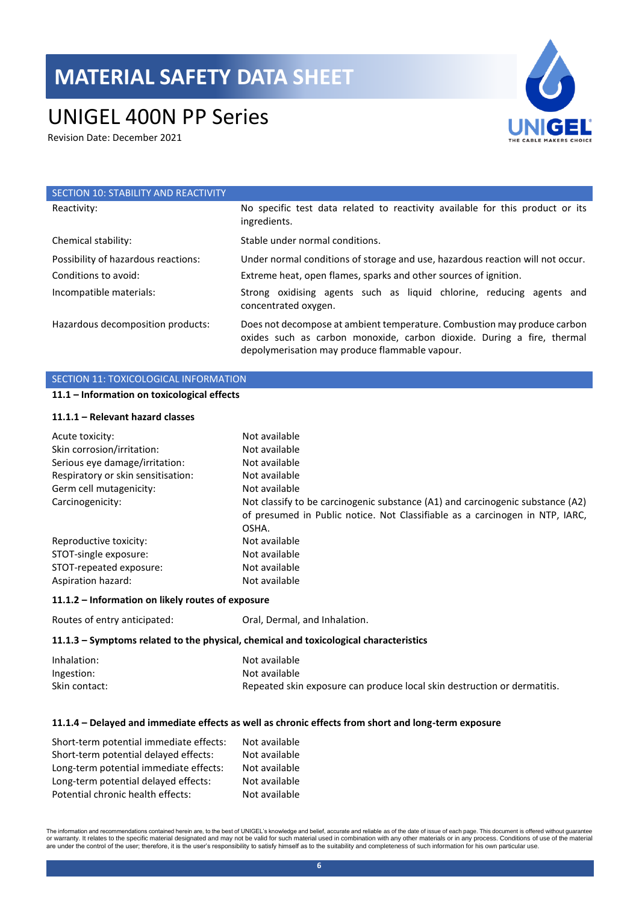# UNIGEL 400N PP Series

Revision Date: December 2021



| SECTION 10: STABILITY AND REACTIVITY |                                                                                                                                                                                                      |
|--------------------------------------|------------------------------------------------------------------------------------------------------------------------------------------------------------------------------------------------------|
| Reactivity:                          | No specific test data related to reactivity available for this product or its<br>ingredients.                                                                                                        |
| Chemical stability:                  | Stable under normal conditions.                                                                                                                                                                      |
| Possibility of hazardous reactions:  | Under normal conditions of storage and use, hazardous reaction will not occur.                                                                                                                       |
| Conditions to avoid:                 | Extreme heat, open flames, sparks and other sources of ignition.                                                                                                                                     |
| Incompatible materials:              | Strong oxidising agents such as liquid chlorine, reducing agents and<br>concentrated oxygen.                                                                                                         |
| Hazardous decomposition products:    | Does not decompose at ambient temperature. Combustion may produce carbon<br>oxides such as carbon monoxide, carbon dioxide. During a fire, thermal<br>depolymerisation may produce flammable vapour. |

## SECTION 11: TOXICOLOGICAL INFORMATION

### **11.1 – Information on toxicological effects**

#### **11.1.1 – Relevant hazard classes**

| Acute toxicity:                    | Not available                                                                  |
|------------------------------------|--------------------------------------------------------------------------------|
| Skin corrosion/irritation:         | Not available                                                                  |
| Serious eye damage/irritation:     | Not available                                                                  |
| Respiratory or skin sensitisation: | Not available                                                                  |
| Germ cell mutagenicity:            | Not available                                                                  |
| Carcinogenicity:                   | Not classify to be carcinogenic substance (A1) and carcinogenic substance (A2) |
|                                    | of presumed in Public notice. Not Classifiable as a carcinogen in NTP, IARC,   |
|                                    | OSHA.                                                                          |
| Reproductive toxicity:             | Not available                                                                  |
| STOT-single exposure:              | Not available                                                                  |
| STOT-repeated exposure:            | Not available                                                                  |
| Aspiration hazard:                 | Not available                                                                  |

#### **11.1.2 – Information on likely routes of exposure**

| Routes of entry anticipated: | Oral, Dermal, and Inhalation. |
|------------------------------|-------------------------------|
|                              |                               |

#### **11.1.3 – Symptoms related to the physical, chemical and toxicological characteristics**

| Inhalation:   | Not available                                                            |
|---------------|--------------------------------------------------------------------------|
| Ingestion:    | Not available                                                            |
| Skin contact: | Repeated skin exposure can produce local skin destruction or dermatitis. |

## **11.1.4 – Delayed and immediate effects as well as chronic effects from short and long-term exposure**

| Short-term potential immediate effects: | Not available |
|-----------------------------------------|---------------|
| Short-term potential delayed effects:   | Not available |
| Long-term potential immediate effects:  | Not available |
| Long-term potential delayed effects:    | Not available |
| Potential chronic health effects:       | Not available |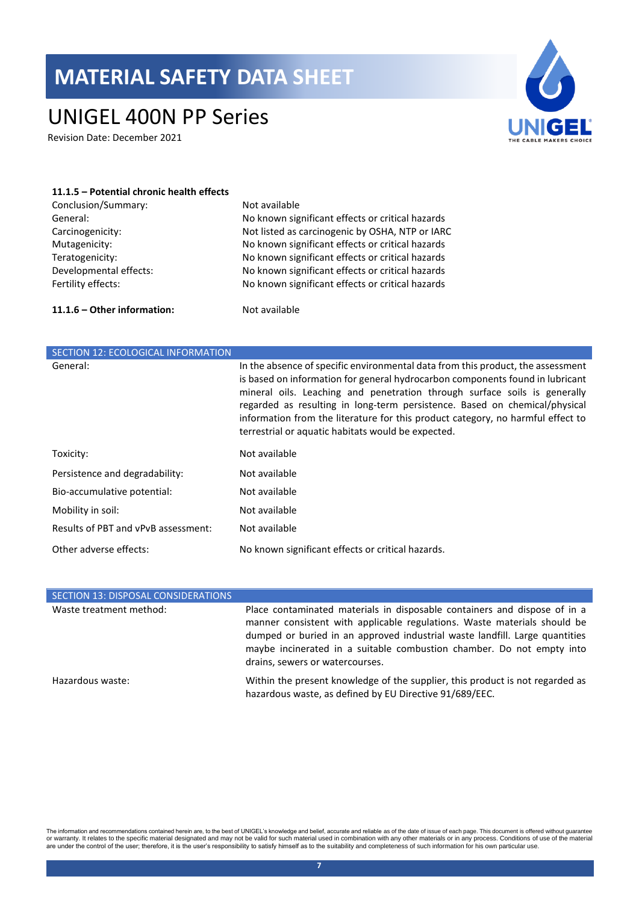# UNIGEL 400N PP Series

Revision Date: December 2021



## **11.1.5 – Potential chronic health effects** Conclusion/Summary: Not available General: No known significant effects or critical hazards Carcinogenicity: Not listed as carcinogenic by OSHA, NTP or IARC

Mutagenicity: No known significant effects or critical hazards Teratogenicity: No known significant effects or critical hazards Developmental effects: No known significant effects or critical hazards Fertility effects: No known significant effects or critical hazards

#### **11.1.6 – Other information:** Not available

| SECTION 12: ECOLOGICAL INFORMATION  |                                                                                                                                                                                                                                                                                                                                                                                                                                                                      |
|-------------------------------------|----------------------------------------------------------------------------------------------------------------------------------------------------------------------------------------------------------------------------------------------------------------------------------------------------------------------------------------------------------------------------------------------------------------------------------------------------------------------|
| General:                            | In the absence of specific environmental data from this product, the assessment<br>is based on information for general hydrocarbon components found in lubricant<br>mineral oils. Leaching and penetration through surface soils is generally<br>regarded as resulting in long-term persistence. Based on chemical/physical<br>information from the literature for this product category, no harmful effect to<br>terrestrial or aquatic habitats would be expected. |
| Toxicity:                           | Not available                                                                                                                                                                                                                                                                                                                                                                                                                                                        |
| Persistence and degradability:      | Not available                                                                                                                                                                                                                                                                                                                                                                                                                                                        |
| Bio-accumulative potential:         | Not available                                                                                                                                                                                                                                                                                                                                                                                                                                                        |
| Mobility in soil:                   | Not available                                                                                                                                                                                                                                                                                                                                                                                                                                                        |
| Results of PBT and vPvB assessment: | Not available                                                                                                                                                                                                                                                                                                                                                                                                                                                        |
| Other adverse effects:              | No known significant effects or critical hazards.                                                                                                                                                                                                                                                                                                                                                                                                                    |

| SECTION 13: DISPOSAL CONSIDERATIONS |                                                                                                                                                                                                                                                                                                                                                  |
|-------------------------------------|--------------------------------------------------------------------------------------------------------------------------------------------------------------------------------------------------------------------------------------------------------------------------------------------------------------------------------------------------|
| Waste treatment method:             | Place contaminated materials in disposable containers and dispose of in a<br>manner consistent with applicable regulations. Waste materials should be<br>dumped or buried in an approved industrial waste landfill. Large quantities<br>maybe incinerated in a suitable combustion chamber. Do not empty into<br>drains, sewers or watercourses. |
| Hazardous waste:                    | Within the present knowledge of the supplier, this product is not regarded as<br>hazardous waste, as defined by EU Directive 91/689/EEC.                                                                                                                                                                                                         |